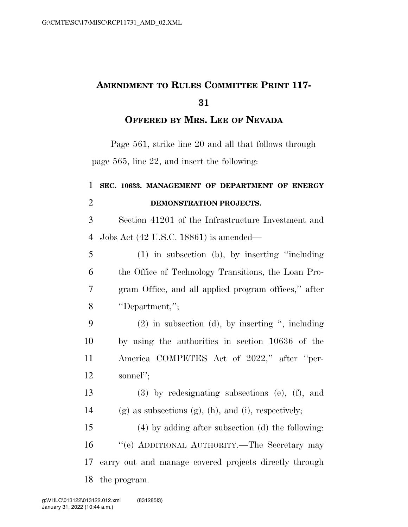## **AMENDMENT TO RULES COMMITTEE PRINT 117-**

## **OFFERED BY MRS. LEE OF NEVADA**

Page 561, strike line 20 and all that follows through page 565, line 22, and insert the following:

## **SEC. 10633. MANAGEMENT OF DEPARTMENT OF ENERGY DEMONSTRATION PROJECTS.**

 Section 41201 of the Infrastructure Investment and Jobs Act (42 U.S.C. 18861) is amended—

 (1) in subsection (b), by inserting ''including the Office of Technology Transitions, the Loan Pro- gram Office, and all applied program offices,'' after ''Department,'';

 (2) in subsection (d), by inserting '', including by using the authorities in section 10636 of the America COMPETES Act of 2022,'' after ''per-sonnel'';

 (3) by redesignating subsections (e), (f), and 14 (g) as subsections  $(g)$ ,  $(h)$ , and  $(i)$ , respectively;

 (4) by adding after subsection (d) the following: ''(e) ADDITIONAL AUTHORITY.—The Secretary may carry out and manage covered projects directly through the program.